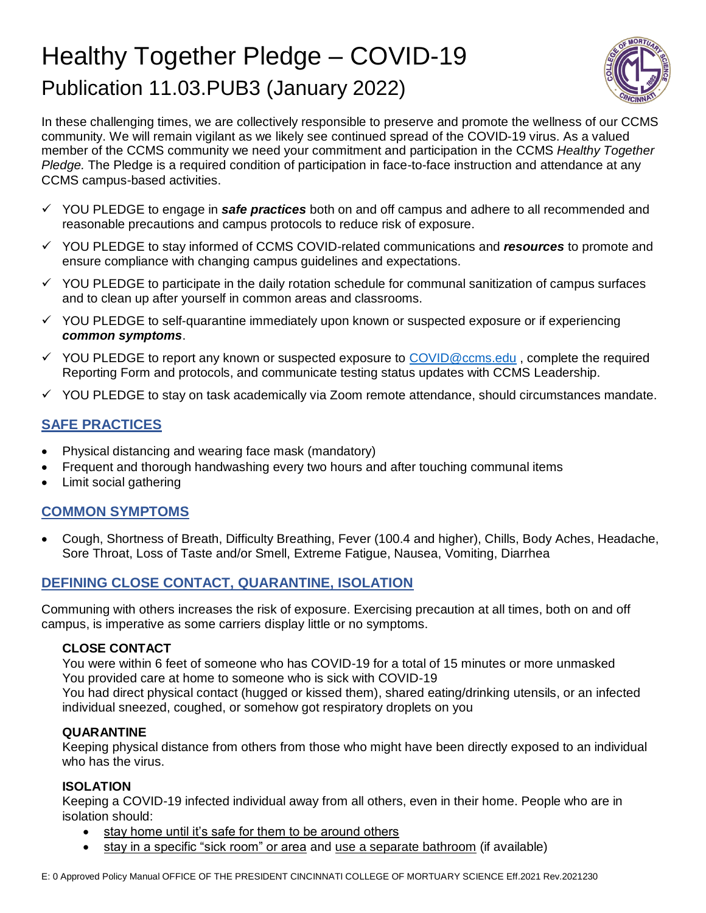# Healthy Together Pledge – COVID-19 Publication 11.03.PUB3 (January 2022)



In these challenging times, we are collectively responsible to preserve and promote the wellness of our CCMS community. We will remain vigilant as we likely see continued spread of the COVID-19 virus. As a valued member of the CCMS community we need your commitment and participation in the CCMS *Healthy Together Pledge.* The Pledge is a required condition of participation in face-to-face instruction and attendance at any CCMS campus-based activities.

- YOU PLEDGE to engage in *safe practices* both on and off campus and adhere to all recommended and reasonable precautions and campus protocols to reduce risk of exposure.
- YOU PLEDGE to stay informed of CCMS COVID-related communications and *resources* to promote and ensure compliance with changing campus guidelines and expectations.
- $\checkmark$  YOU PLEDGE to participate in the daily rotation schedule for communal sanitization of campus surfaces and to clean up after yourself in common areas and classrooms.
- $\checkmark$  YOU PLEDGE to self-quarantine immediately upon known or suspected exposure or if experiencing *common symptoms*.
- $\checkmark$  YOU PLEDGE to report any known or suspected exposure to [COVID@ccms.edu](mailto:COVID@ccms.edu), complete the required Reporting Form and protocols, and communicate testing status updates with CCMS Leadership.
- $\checkmark$  YOU PLEDGE to stay on task academically via Zoom remote attendance, should circumstances mandate.

# **SAFE PRACTICES**

- Physical distancing and wearing face mask (mandatory)
- Frequent and thorough handwashing every two hours and after touching communal items
- Limit social gathering

# **COMMON SYMPTOMS**

 Cough, Shortness of Breath, Difficulty Breathing, Fever (100.4 and higher), Chills, Body Aches, Headache, Sore Throat, Loss of Taste and/or Smell, Extreme Fatigue, Nausea, Vomiting, Diarrhea

# **DEFINING CLOSE CONTACT, QUARANTINE, ISOLATION**

Communing with others increases the risk of exposure. Exercising precaution at all times, both on and off campus, is imperative as some carriers display little or no symptoms.

#### **CLOSE CONTACT**

You were within 6 feet of someone who has COVID-19 for a total of 15 minutes or more unmasked You provided care at home to someone who is sick with COVID-19

You had direct physical contact (hugged or kissed them), shared eating/drinking utensils, or an infected individual sneezed, coughed, or somehow got respiratory droplets on you

#### **QUARANTINE**

Keeping physical distance from others from those who might have been directly exposed to an individual who has the virus.

#### **ISOLATION**

Keeping a COVID-19 infected individual away from all others, even in their home. People who are in isolation should:

- stay home until it's safe for them to be around others
- stay in a specific "sick room" or area and use a separate bathroom (if available)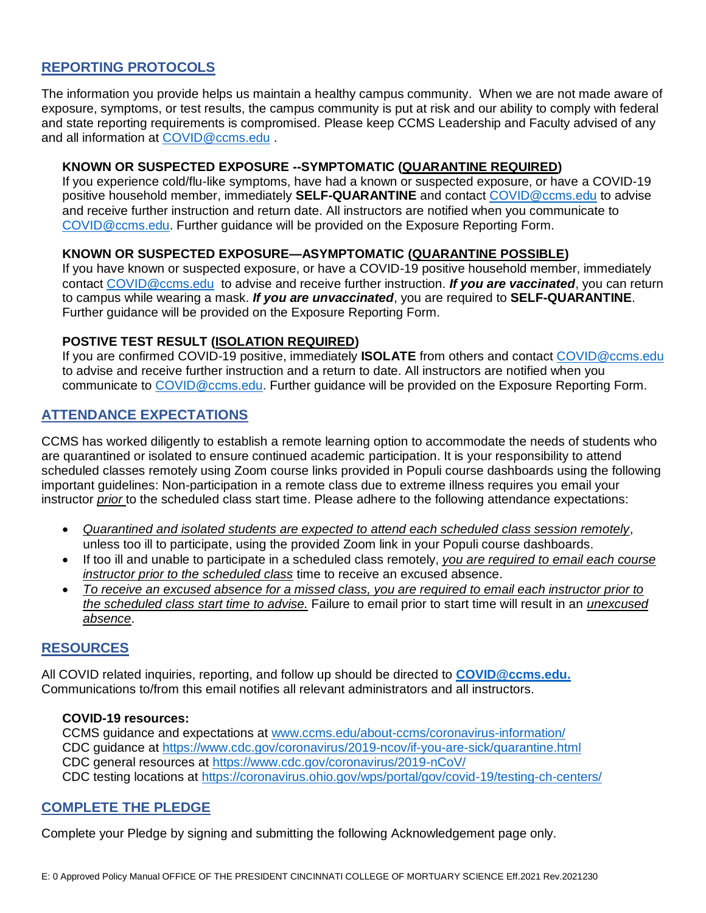#### **REPORTING PROTOCOLS**

The information you provide helps us maintain a healthy campus community. When we are not made aware of exposure, symptoms, or test results, the campus community is put at risk and our ability to comply with federal and state reporting requirements is compromised. Please keep CCMS Leadership and Faculty advised of any and all information at [COVID@ccms.edu](mailto:COVID@ccms.edu) .

#### **KNOWN OR SUSPECTED EXPOSURE --SYMPTOMATIC (QUARANTINE REQUIRED)**

If you experience cold/flu-like symptoms, have had a known or suspected exposure, or have a COVID-19 positive household member, immediately **SELF-QUARANTINE** and contact [COVID@ccms.edu](mailto:COVID@ccms.edu) to advise and receive further instruction and return date. All instructors are notified when you communicate to [COVID@ccms.edu.](mailto:COVID@ccms.edu) Further guidance will be provided on the Exposure Reporting Form.

#### **KNOWN OR SUSPECTED EXPOSURE—ASYMPTOMATIC (QUARANTINE POSSIBLE)**

If you have known or suspected exposure, or have a COVID-19 positive household member, immediately contact [COVID@ccms.edu](mailto:COVID@ccms.edu) to advise and receive further instruction. *If you are vaccinated*, you can return to campus while wearing a mask. *If you are unvaccinated*, you are required to **SELF-QUARANTINE**. Further guidance will be provided on the Exposure Reporting Form.

#### **POSTIVE TEST RESULT (ISOLATION REQUIRED)**

If you are confirmed COVID-19 positive, immediately **ISOLATE** from others and contact [COVID@ccms.edu](mailto:COVID@ccms.edu) to advise and receive further instruction and a return to date. All instructors are notified when you communicate to [COVID@ccms.edu.](mailto:COVID@ccms.edu) Further guidance will be provided on the Exposure Reporting Form.

#### **ATTENDANCE EXPECTATIONS**

CCMS has worked diligently to establish a remote learning option to accommodate the needs of students who are quarantined or isolated to ensure continued academic participation. It is your responsibility to attend scheduled classes remotely using Zoom course links provided in Populi course dashboards using the following important guidelines: Non-participation in a remote class due to extreme illness requires you email your instructor *prior* to the scheduled class start time. Please adhere to the following attendance expectations:

- *Quarantined and isolated students are expected to attend each scheduled class session remotely*, unless too ill to participate, using the provided Zoom link in your Populi course dashboards.
- If too ill and unable to participate in a scheduled class remotely, *you are required to email each course instructor prior to the scheduled class* time to receive an excused absence.
- *To receive an excused absence for a missed class, you are required to email each instructor prior to the scheduled class start time to advise.* Failure to email prior to start time will result in an *unexcused absence*.

#### **RESOURCES**

All COVID related inquiries, reporting, and follow up should be directed to **[COVID@ccms.edu.](mailto:COVID@ccms.edu)** Communications to/from this email notifies all relevant administrators and all instructors.

#### **COVID-19 resources:**

CCMS guidance and expectations at [www.ccms.edu/about-ccms/coronavirus-information/](http://www.ccms.edu/about-ccms/coronavirus-information/) CDC guidance at<https://www.cdc.gov/coronavirus/2019-ncov/if-you-are-sick/quarantine.html> CDC general resources at<https://www.cdc.gov/coronavirus/2019-nCoV/> CDC testing locations at<https://coronavirus.ohio.gov/wps/portal/gov/covid-19/testing-ch-centers/>

#### **COMPLETE THE PLEDGE**

Complete your Pledge by signing and submitting the following Acknowledgement page only.